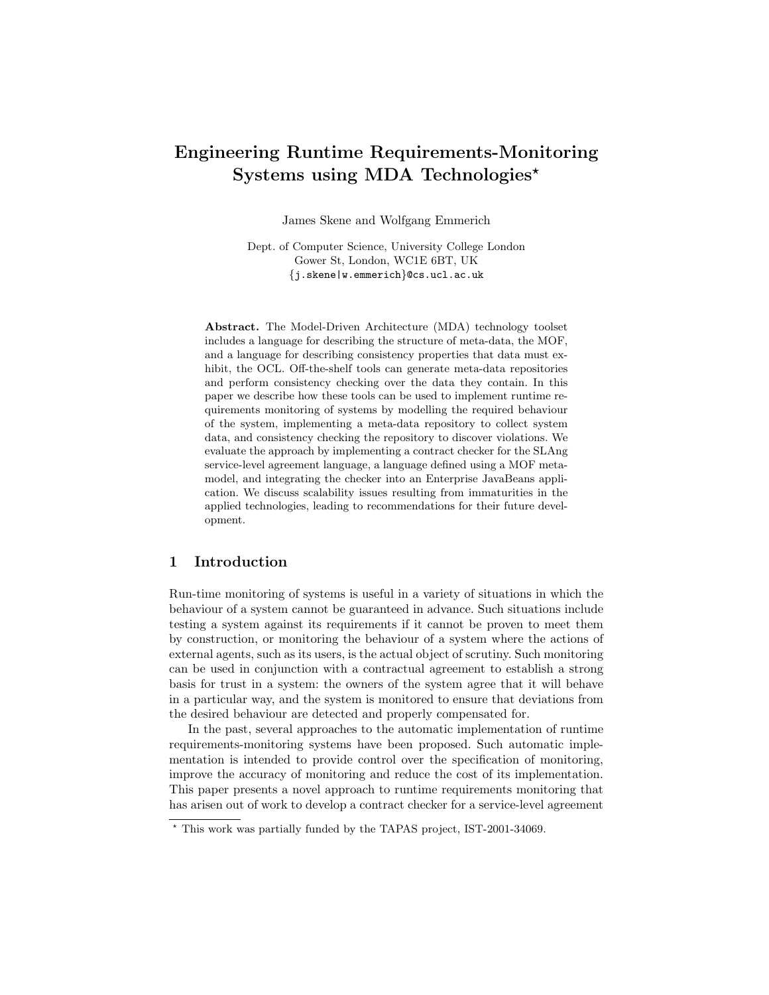# Engineering Runtime Requirements-Monitoring Systems using MDA Technologies<sup>\*</sup>

James Skene and Wolfgang Emmerich

Dept. of Computer Science, University College London Gower St, London, WC1E 6BT, UK {j.skene|w.emmerich}@cs.ucl.ac.uk

Abstract. The Model-Driven Architecture (MDA) technology toolset includes a language for describing the structure of meta-data, the MOF, and a language for describing consistency properties that data must exhibit, the OCL. Off-the-shelf tools can generate meta-data repositories and perform consistency checking over the data they contain. In this paper we describe how these tools can be used to implement runtime requirements monitoring of systems by modelling the required behaviour of the system, implementing a meta-data repository to collect system data, and consistency checking the repository to discover violations. We evaluate the approach by implementing a contract checker for the SLAng service-level agreement language, a language defined using a MOF metamodel, and integrating the checker into an Enterprise JavaBeans application. We discuss scalability issues resulting from immaturities in the applied technologies, leading to recommendations for their future development.

# 1 Introduction

Run-time monitoring of systems is useful in a variety of situations in which the behaviour of a system cannot be guaranteed in advance. Such situations include testing a system against its requirements if it cannot be proven to meet them by construction, or monitoring the behaviour of a system where the actions of external agents, such as its users, is the actual object of scrutiny. Such monitoring can be used in conjunction with a contractual agreement to establish a strong basis for trust in a system: the owners of the system agree that it will behave in a particular way, and the system is monitored to ensure that deviations from the desired behaviour are detected and properly compensated for.

In the past, several approaches to the automatic implementation of runtime requirements-monitoring systems have been proposed. Such automatic implementation is intended to provide control over the specification of monitoring, improve the accuracy of monitoring and reduce the cost of its implementation. This paper presents a novel approach to runtime requirements monitoring that has arisen out of work to develop a contract checker for a service-level agreement

<sup>?</sup> This work was partially funded by the TAPAS project, IST-2001-34069.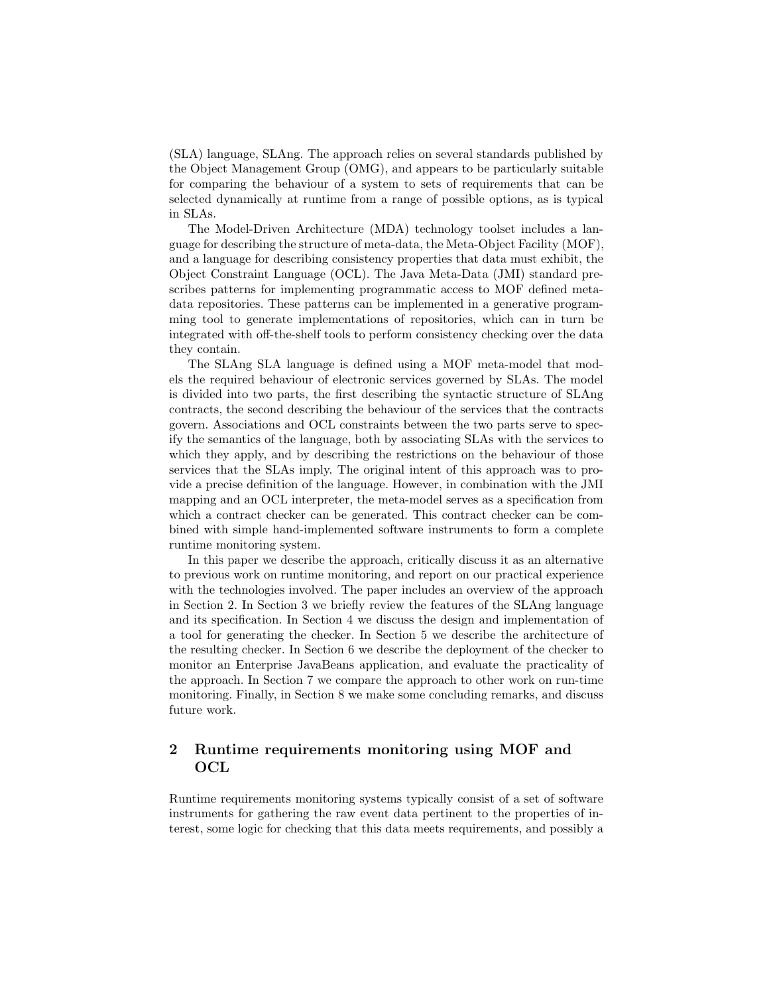(SLA) language, SLAng. The approach relies on several standards published by the Object Management Group (OMG), and appears to be particularly suitable for comparing the behaviour of a system to sets of requirements that can be selected dynamically at runtime from a range of possible options, as is typical in SLAs.

The Model-Driven Architecture (MDA) technology toolset includes a language for describing the structure of meta-data, the Meta-Object Facility (MOF), and a language for describing consistency properties that data must exhibit, the Object Constraint Language (OCL). The Java Meta-Data (JMI) standard prescribes patterns for implementing programmatic access to MOF defined metadata repositories. These patterns can be implemented in a generative programming tool to generate implementations of repositories, which can in turn be integrated with off-the-shelf tools to perform consistency checking over the data they contain.

The SLAng SLA language is defined using a MOF meta-model that models the required behaviour of electronic services governed by SLAs. The model is divided into two parts, the first describing the syntactic structure of SLAng contracts, the second describing the behaviour of the services that the contracts govern. Associations and OCL constraints between the two parts serve to specify the semantics of the language, both by associating SLAs with the services to which they apply, and by describing the restrictions on the behaviour of those services that the SLAs imply. The original intent of this approach was to provide a precise definition of the language. However, in combination with the JMI mapping and an OCL interpreter, the meta-model serves as a specification from which a contract checker can be generated. This contract checker can be combined with simple hand-implemented software instruments to form a complete runtime monitoring system.

In this paper we describe the approach, critically discuss it as an alternative to previous work on runtime monitoring, and report on our practical experience with the technologies involved. The paper includes an overview of the approach in Section 2. In Section 3 we briefly review the features of the SLAng language and its specification. In Section 4 we discuss the design and implementation of a tool for generating the checker. In Section 5 we describe the architecture of the resulting checker. In Section 6 we describe the deployment of the checker to monitor an Enterprise JavaBeans application, and evaluate the practicality of the approach. In Section 7 we compare the approach to other work on run-time monitoring. Finally, in Section 8 we make some concluding remarks, and discuss future work.

# 2 Runtime requirements monitoring using MOF and OCL

Runtime requirements monitoring systems typically consist of a set of software instruments for gathering the raw event data pertinent to the properties of interest, some logic for checking that this data meets requirements, and possibly a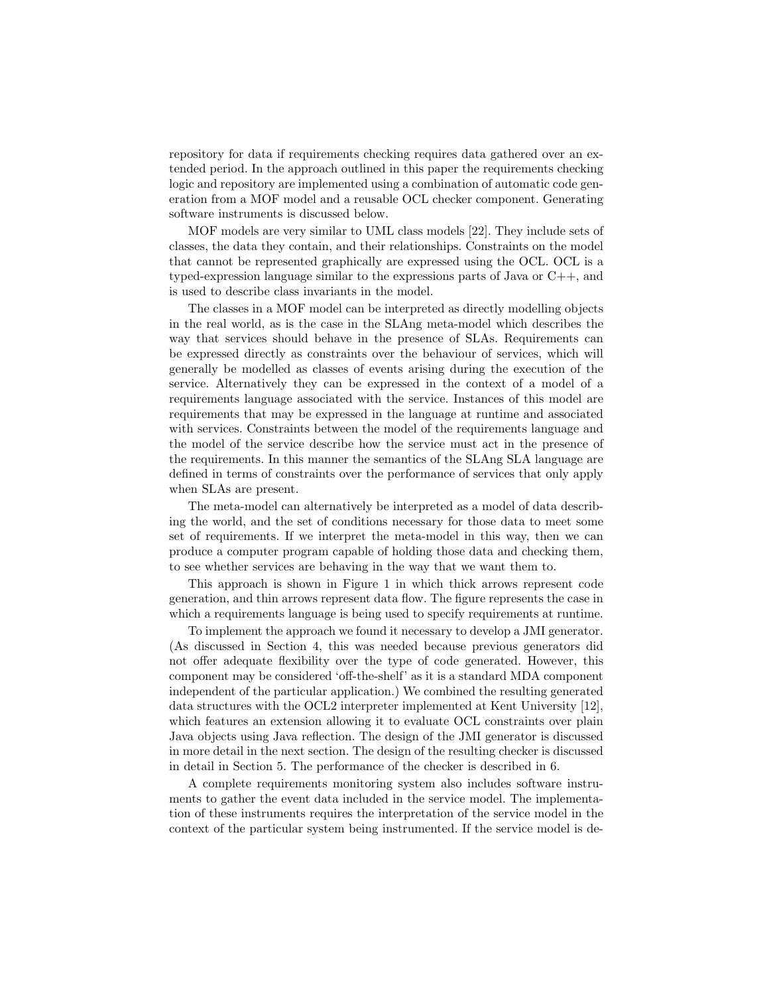repository for data if requirements checking requires data gathered over an extended period. In the approach outlined in this paper the requirements checking logic and repository are implemented using a combination of automatic code generation from a MOF model and a reusable OCL checker component. Generating software instruments is discussed below.

MOF models are very similar to UML class models [22]. They include sets of classes, the data they contain, and their relationships. Constraints on the model that cannot be represented graphically are expressed using the OCL. OCL is a typed-expression language similar to the expressions parts of Java or C++, and is used to describe class invariants in the model.

The classes in a MOF model can be interpreted as directly modelling objects in the real world, as is the case in the SLAng meta-model which describes the way that services should behave in the presence of SLAs. Requirements can be expressed directly as constraints over the behaviour of services, which will generally be modelled as classes of events arising during the execution of the service. Alternatively they can be expressed in the context of a model of a requirements language associated with the service. Instances of this model are requirements that may be expressed in the language at runtime and associated with services. Constraints between the model of the requirements language and the model of the service describe how the service must act in the presence of the requirements. In this manner the semantics of the SLAng SLA language are defined in terms of constraints over the performance of services that only apply when SLAs are present.

The meta-model can alternatively be interpreted as a model of data describing the world, and the set of conditions necessary for those data to meet some set of requirements. If we interpret the meta-model in this way, then we can produce a computer program capable of holding those data and checking them, to see whether services are behaving in the way that we want them to.

This approach is shown in Figure 1 in which thick arrows represent code generation, and thin arrows represent data flow. The figure represents the case in which a requirements language is being used to specify requirements at runtime.

To implement the approach we found it necessary to develop a JMI generator. (As discussed in Section 4, this was needed because previous generators did not offer adequate flexibility over the type of code generated. However, this component may be considered 'off-the-shelf' as it is a standard MDA component independent of the particular application.) We combined the resulting generated data structures with the OCL2 interpreter implemented at Kent University [12], which features an extension allowing it to evaluate OCL constraints over plain Java objects using Java reflection. The design of the JMI generator is discussed in more detail in the next section. The design of the resulting checker is discussed in detail in Section 5. The performance of the checker is described in 6.

A complete requirements monitoring system also includes software instruments to gather the event data included in the service model. The implementation of these instruments requires the interpretation of the service model in the context of the particular system being instrumented. If the service model is de-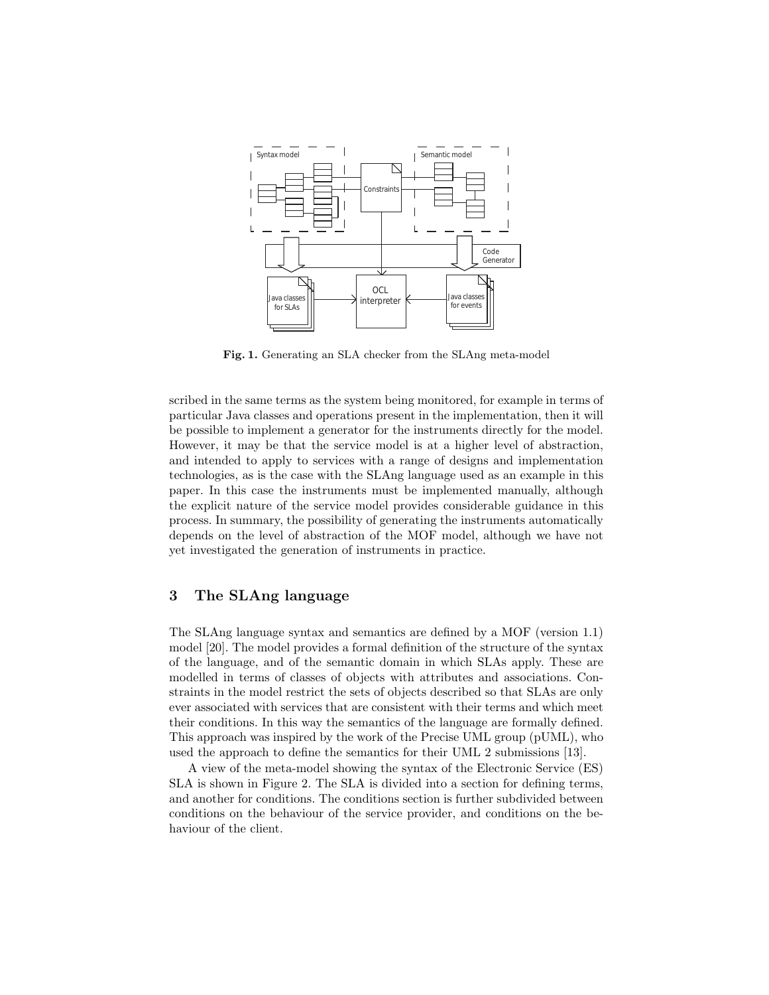

Fig. 1. Generating an SLA checker from the SLAng meta-model

scribed in the same terms as the system being monitored, for example in terms of particular Java classes and operations present in the implementation, then it will be possible to implement a generator for the instruments directly for the model. However, it may be that the service model is at a higher level of abstraction, and intended to apply to services with a range of designs and implementation technologies, as is the case with the SLAng language used as an example in this paper. In this case the instruments must be implemented manually, although the explicit nature of the service model provides considerable guidance in this process. In summary, the possibility of generating the instruments automatically depends on the level of abstraction of the MOF model, although we have not yet investigated the generation of instruments in practice.

# 3 The SLAng language

The SLAng language syntax and semantics are defined by a MOF (version 1.1) model [20]. The model provides a formal definition of the structure of the syntax of the language, and of the semantic domain in which SLAs apply. These are modelled in terms of classes of objects with attributes and associations. Constraints in the model restrict the sets of objects described so that SLAs are only ever associated with services that are consistent with their terms and which meet their conditions. In this way the semantics of the language are formally defined. This approach was inspired by the work of the Precise UML group (pUML), who used the approach to define the semantics for their UML 2 submissions [13].

A view of the meta-model showing the syntax of the Electronic Service (ES) SLA is shown in Figure 2. The SLA is divided into a section for defining terms, and another for conditions. The conditions section is further subdivided between conditions on the behaviour of the service provider, and conditions on the behaviour of the client.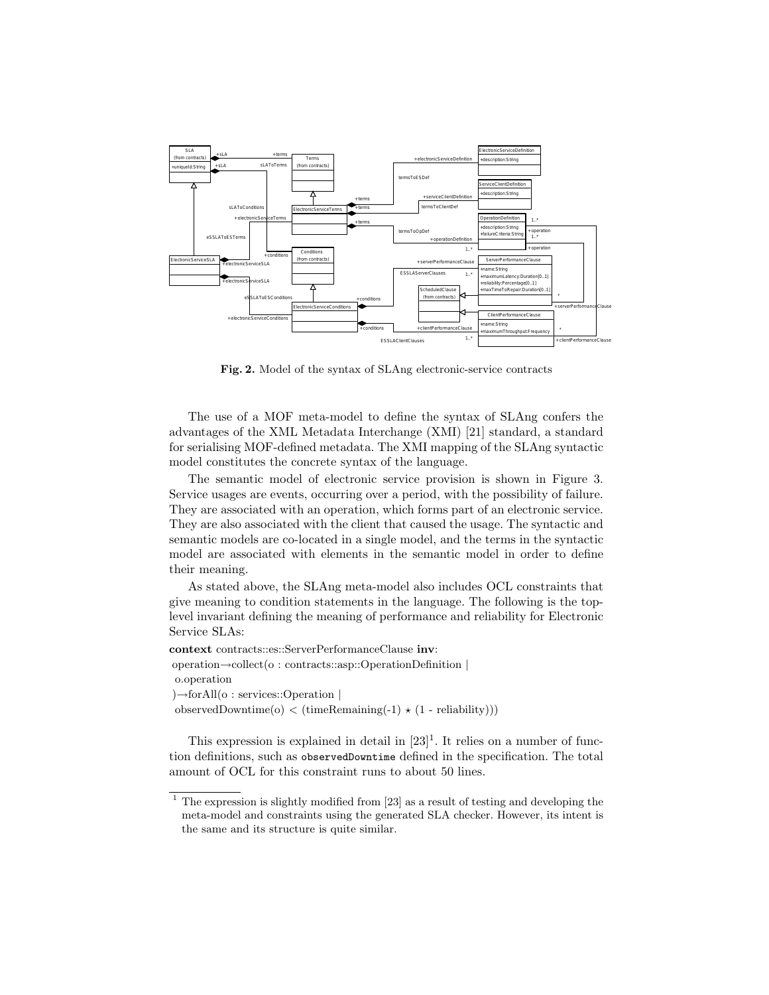

Fig. 2. Model of the syntax of SLAng electronic-service contracts

The use of a MOF meta-model to define the syntax of SLAng confers the advantages of the XML Metadata Interchange (XMI) [21] standard, a standard for serialising MOF-defined metadata. The XMI mapping of the SLAng syntactic model constitutes the concrete syntax of the language.

The semantic model of electronic service provision is shown in Figure 3. Service usages are events, occurring over a period, with the possibility of failure. They are associated with an operation, which forms part of an electronic service. They are also associated with the client that caused the usage. The syntactic and semantic models are co-located in a single model, and the terms in the syntactic model are associated with elements in the semantic model in order to define their meaning.

As stated above, the SLAng meta-model also includes OCL constraints that give meaning to condition statements in the language. The following is the toplevel invariant defining the meaning of performance and reliability for Electronic Service SLAs:

context contracts::es::ServerPerformanceClause inv: operation→collect(o : contracts::asp::OperationDefinition | o.operation )→forAll(o : services::Operation | observedDowntime(o) < (timeRemaining(-1)  $\star$  (1 - reliability)))

This expression is explained in detail in  $[23]$ <sup>1</sup>. It relies on a number of function definitions, such as observedDowntime defined in the specification. The total amount of OCL for this constraint runs to about 50 lines.

 $^{\rm 1}$  The expression is slightly modified from [23] as a result of testing and developing the meta-model and constraints using the generated SLA checker. However, its intent is the same and its structure is quite similar.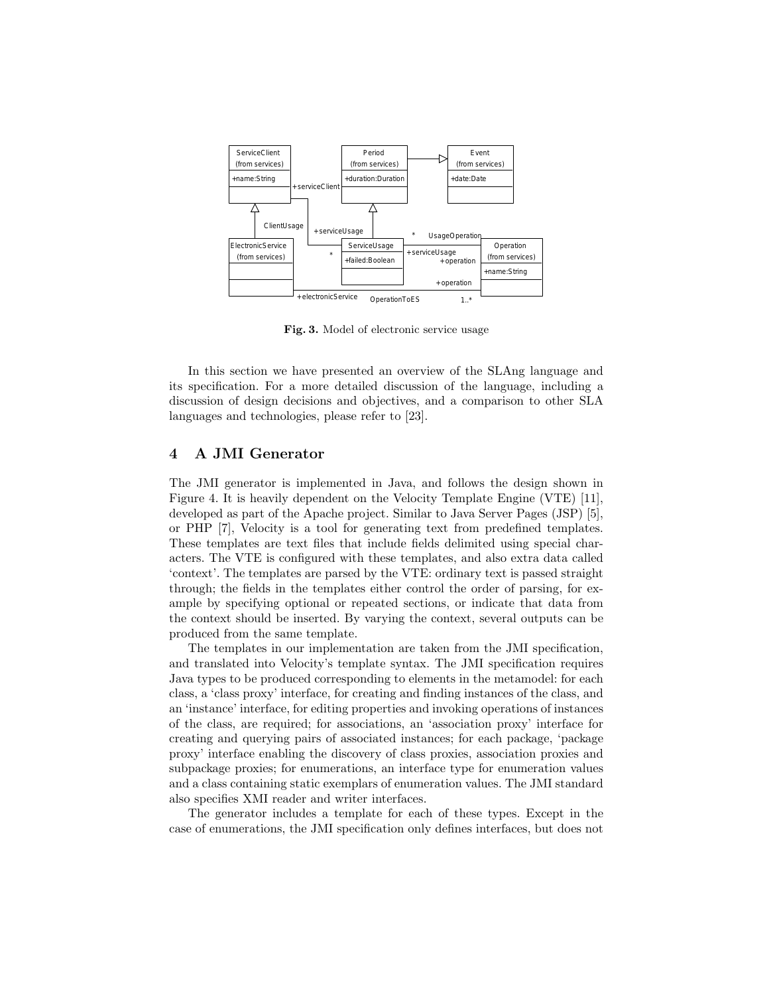

Fig. 3. Model of electronic service usage

In this section we have presented an overview of the SLAng language and its specification. For a more detailed discussion of the language, including a discussion of design decisions and objectives, and a comparison to other SLA languages and technologies, please refer to [23].

## 4 A JMI Generator

The JMI generator is implemented in Java, and follows the design shown in Figure 4. It is heavily dependent on the Velocity Template Engine (VTE) [11], developed as part of the Apache project. Similar to Java Server Pages (JSP) [5], or PHP [7], Velocity is a tool for generating text from predefined templates. These templates are text files that include fields delimited using special characters. The VTE is configured with these templates, and also extra data called 'context'. The templates are parsed by the VTE: ordinary text is passed straight through; the fields in the templates either control the order of parsing, for example by specifying optional or repeated sections, or indicate that data from the context should be inserted. By varying the context, several outputs can be produced from the same template.

The templates in our implementation are taken from the JMI specification, and translated into Velocity's template syntax. The JMI specification requires Java types to be produced corresponding to elements in the metamodel: for each class, a 'class proxy' interface, for creating and finding instances of the class, and an 'instance' interface, for editing properties and invoking operations of instances of the class, are required; for associations, an 'association proxy' interface for creating and querying pairs of associated instances; for each package, 'package proxy' interface enabling the discovery of class proxies, association proxies and subpackage proxies; for enumerations, an interface type for enumeration values and a class containing static exemplars of enumeration values. The JMI standard also specifies XMI reader and writer interfaces.

The generator includes a template for each of these types. Except in the case of enumerations, the JMI specification only defines interfaces, but does not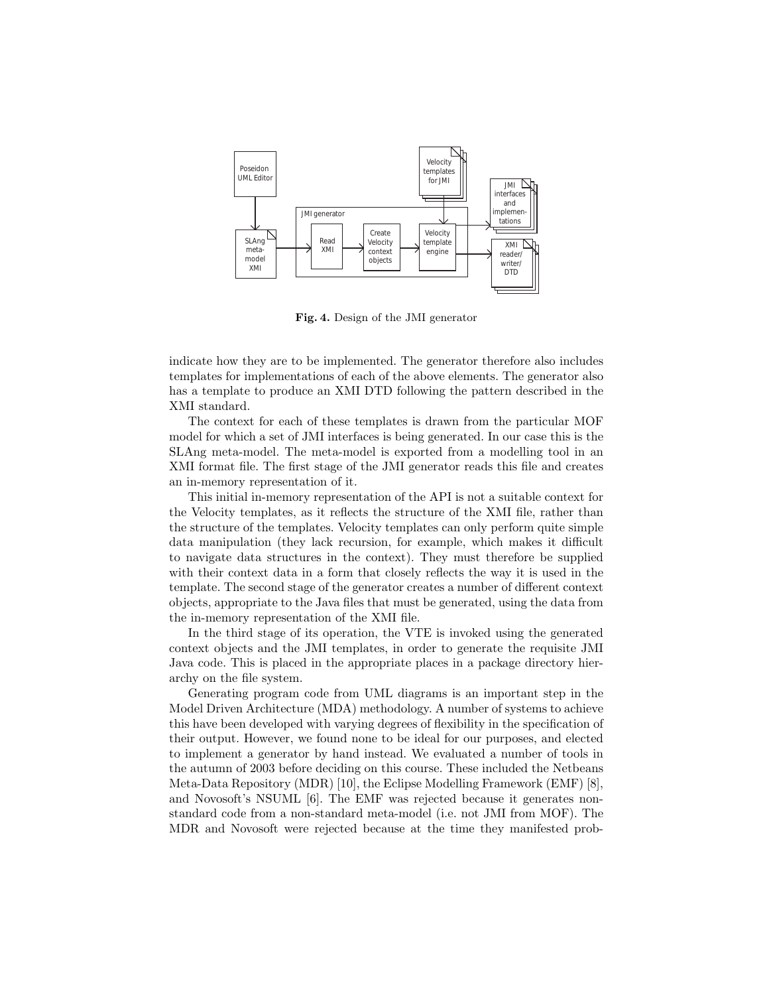

Fig. 4. Design of the JMI generator

indicate how they are to be implemented. The generator therefore also includes templates for implementations of each of the above elements. The generator also has a template to produce an XMI DTD following the pattern described in the XMI standard.

The context for each of these templates is drawn from the particular MOF model for which a set of JMI interfaces is being generated. In our case this is the SLAng meta-model. The meta-model is exported from a modelling tool in an XMI format file. The first stage of the JMI generator reads this file and creates an in-memory representation of it.

This initial in-memory representation of the API is not a suitable context for the Velocity templates, as it reflects the structure of the XMI file, rather than the structure of the templates. Velocity templates can only perform quite simple data manipulation (they lack recursion, for example, which makes it difficult to navigate data structures in the context). They must therefore be supplied with their context data in a form that closely reflects the way it is used in the template. The second stage of the generator creates a number of different context objects, appropriate to the Java files that must be generated, using the data from the in-memory representation of the XMI file.

In the third stage of its operation, the VTE is invoked using the generated context objects and the JMI templates, in order to generate the requisite JMI Java code. This is placed in the appropriate places in a package directory hierarchy on the file system.

Generating program code from UML diagrams is an important step in the Model Driven Architecture (MDA) methodology. A number of systems to achieve this have been developed with varying degrees of flexibility in the specification of their output. However, we found none to be ideal for our purposes, and elected to implement a generator by hand instead. We evaluated a number of tools in the autumn of 2003 before deciding on this course. These included the Netbeans Meta-Data Repository (MDR) [10], the Eclipse Modelling Framework (EMF) [8], and Novosoft's NSUML [6]. The EMF was rejected because it generates nonstandard code from a non-standard meta-model (i.e. not JMI from MOF). The MDR and Novosoft were rejected because at the time they manifested prob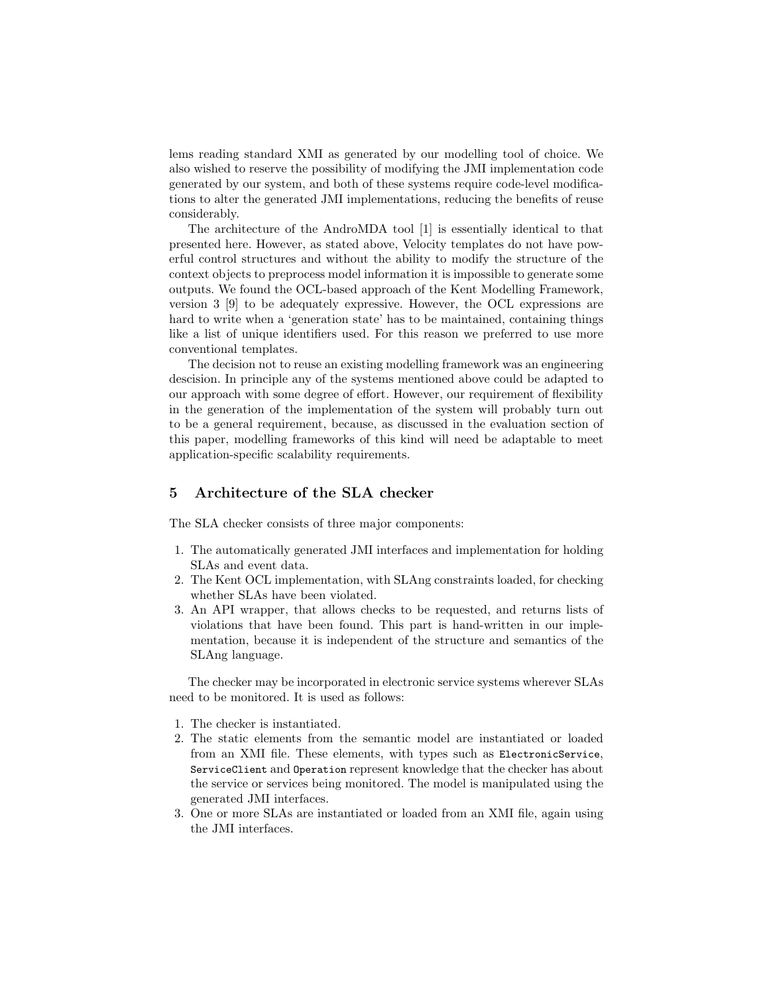lems reading standard XMI as generated by our modelling tool of choice. We also wished to reserve the possibility of modifying the JMI implementation code generated by our system, and both of these systems require code-level modifications to alter the generated JMI implementations, reducing the benefits of reuse considerably.

The architecture of the AndroMDA tool [1] is essentially identical to that presented here. However, as stated above, Velocity templates do not have powerful control structures and without the ability to modify the structure of the context objects to preprocess model information it is impossible to generate some outputs. We found the OCL-based approach of the Kent Modelling Framework, version 3 [9] to be adequately expressive. However, the OCL expressions are hard to write when a 'generation state' has to be maintained, containing things like a list of unique identifiers used. For this reason we preferred to use more conventional templates.

The decision not to reuse an existing modelling framework was an engineering descision. In principle any of the systems mentioned above could be adapted to our approach with some degree of effort. However, our requirement of flexibility in the generation of the implementation of the system will probably turn out to be a general requirement, because, as discussed in the evaluation section of this paper, modelling frameworks of this kind will need be adaptable to meet application-specific scalability requirements.

## 5 Architecture of the SLA checker

The SLA checker consists of three major components:

- 1. The automatically generated JMI interfaces and implementation for holding SLAs and event data.
- 2. The Kent OCL implementation, with SLAng constraints loaded, for checking whether SLAs have been violated.
- 3. An API wrapper, that allows checks to be requested, and returns lists of violations that have been found. This part is hand-written in our implementation, because it is independent of the structure and semantics of the SLAng language.

The checker may be incorporated in electronic service systems wherever SLAs need to be monitored. It is used as follows:

- 1. The checker is instantiated.
- 2. The static elements from the semantic model are instantiated or loaded from an XMI file. These elements, with types such as ElectronicService, ServiceClient and Operation represent knowledge that the checker has about the service or services being monitored. The model is manipulated using the generated JMI interfaces.
- 3. One or more SLAs are instantiated or loaded from an XMI file, again using the JMI interfaces.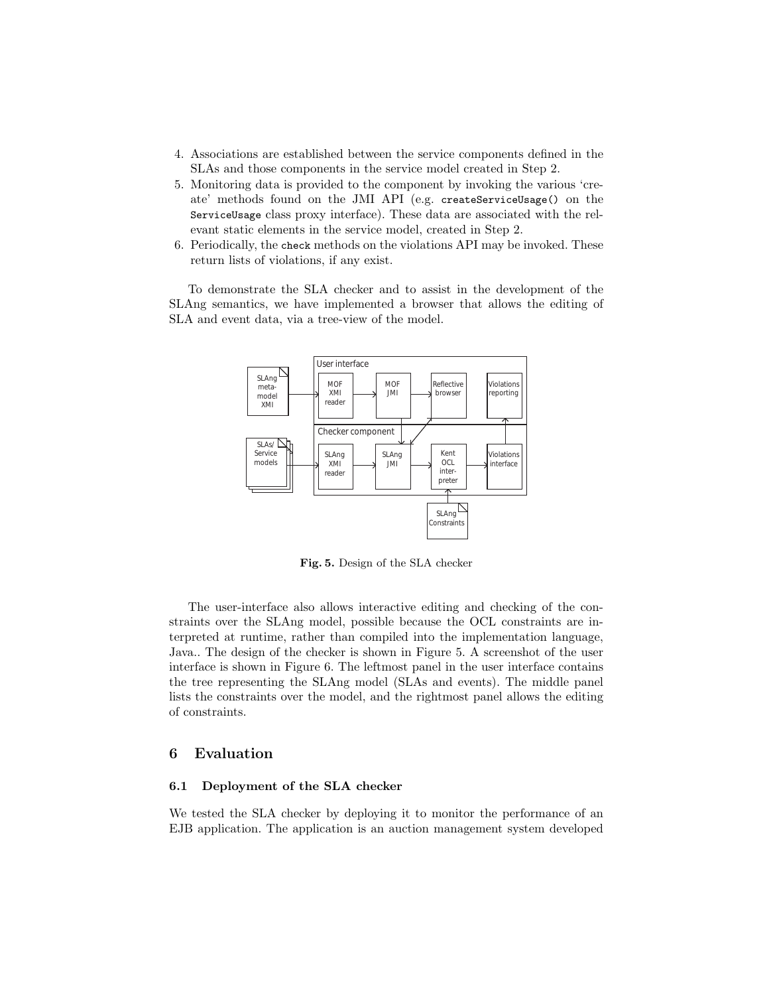- 4. Associations are established between the service components defined in the SLAs and those components in the service model created in Step 2.
- 5. Monitoring data is provided to the component by invoking the various 'create' methods found on the JMI API (e.g. createServiceUsage() on the ServiceUsage class proxy interface). These data are associated with the relevant static elements in the service model, created in Step 2.
- 6. Periodically, the check methods on the violations API may be invoked. These return lists of violations, if any exist.

To demonstrate the SLA checker and to assist in the development of the SLAng semantics, we have implemented a browser that allows the editing of SLA and event data, via a tree-view of the model.



Fig. 5. Design of the SLA checker

The user-interface also allows interactive editing and checking of the constraints over the SLAng model, possible because the OCL constraints are interpreted at runtime, rather than compiled into the implementation language, Java.. The design of the checker is shown in Figure 5. A screenshot of the user interface is shown in Figure 6. The leftmost panel in the user interface contains the tree representing the SLAng model (SLAs and events). The middle panel lists the constraints over the model, and the rightmost panel allows the editing of constraints.

#### 6 Evaluation

#### 6.1 Deployment of the SLA checker

We tested the SLA checker by deploying it to monitor the performance of an EJB application. The application is an auction management system developed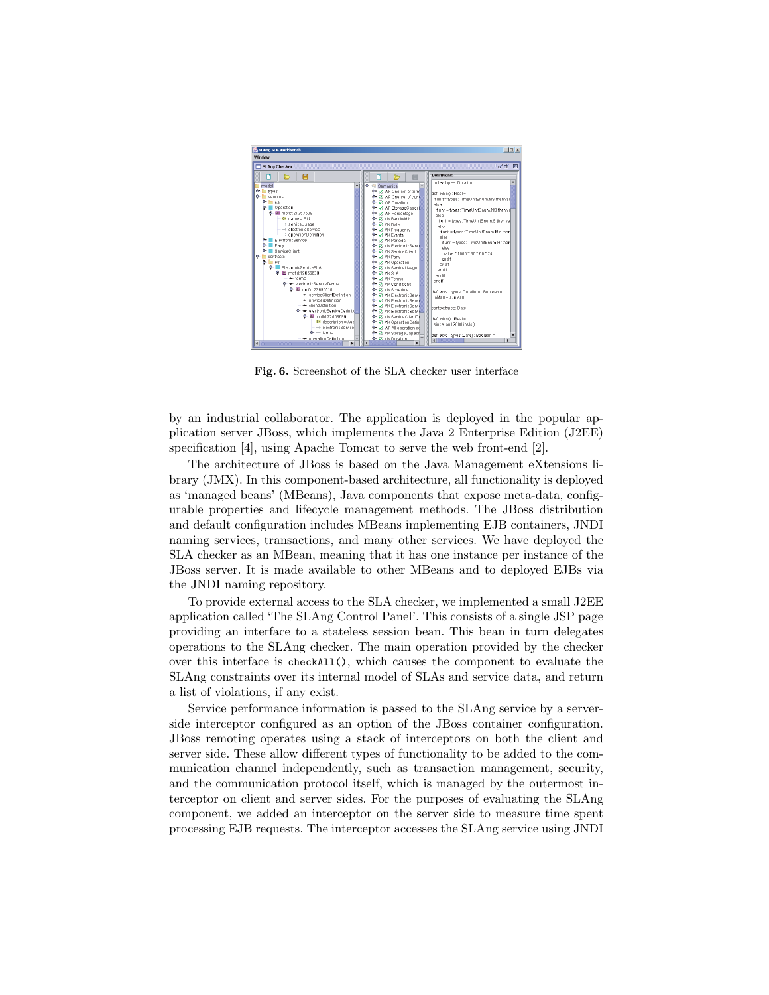

Fig. 6. Screenshot of the SLA checker user interface

by an industrial collaborator. The application is deployed in the popular application server JBoss, which implements the Java 2 Enterprise Edition (J2EE) specification [4], using Apache Tomcat to serve the web front-end [2].

The architecture of JBoss is based on the Java Management eXtensions library (JMX). In this component-based architecture, all functionality is deployed as 'managed beans' (MBeans), Java components that expose meta-data, configurable properties and lifecycle management methods. The JBoss distribution and default configuration includes MBeans implementing EJB containers, JNDI naming services, transactions, and many other services. We have deployed the SLA checker as an MBean, meaning that it has one instance per instance of the JBoss server. It is made available to other MBeans and to deployed EJBs via the JNDI naming repository.

To provide external access to the SLA checker, we implemented a small J2EE application called 'The SLAng Control Panel'. This consists of a single JSP page providing an interface to a stateless session bean. This bean in turn delegates operations to the SLAng checker. The main operation provided by the checker over this interface is checkAll(), which causes the component to evaluate the SLAng constraints over its internal model of SLAs and service data, and return a list of violations, if any exist.

Service performance information is passed to the SLAng service by a serverside interceptor configured as an option of the JBoss container configuration. JBoss remoting operates using a stack of interceptors on both the client and server side. These allow different types of functionality to be added to the communication channel independently, such as transaction management, security, and the communication protocol itself, which is managed by the outermost interceptor on client and server sides. For the purposes of evaluating the SLAng component, we added an interceptor on the server side to measure time spent processing EJB requests. The interceptor accesses the SLAng service using JNDI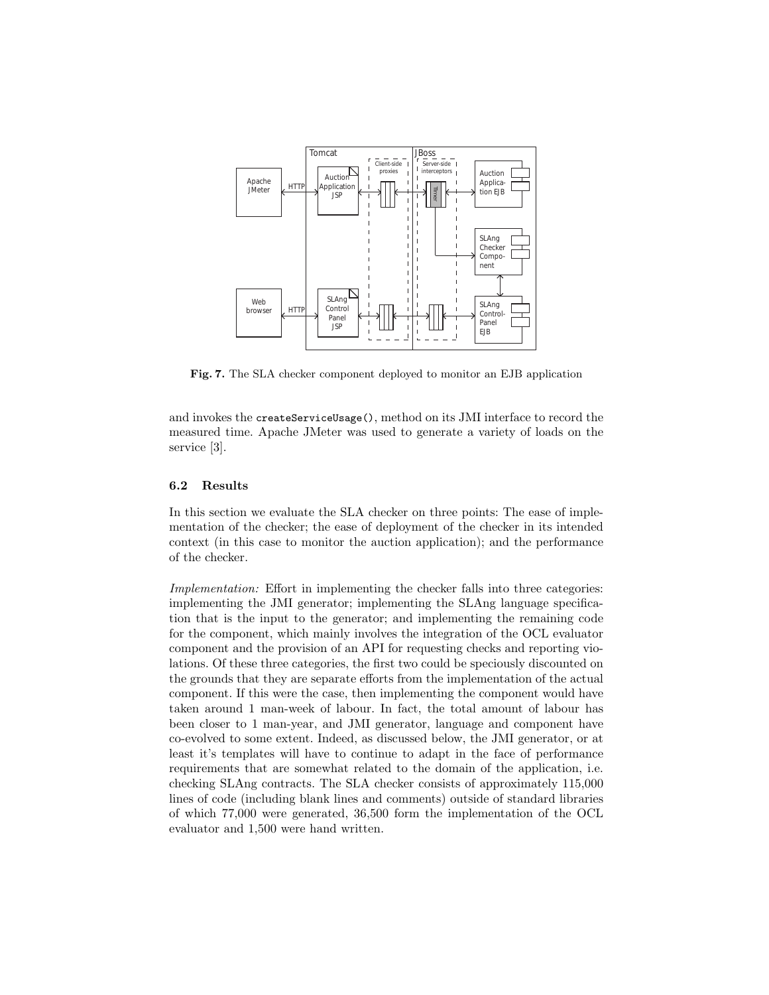

Fig. 7. The SLA checker component deployed to monitor an EJB application

and invokes the createServiceUsage(), method on its JMI interface to record the measured time. Apache JMeter was used to generate a variety of loads on the service [3].

#### 6.2 Results

In this section we evaluate the SLA checker on three points: The ease of implementation of the checker; the ease of deployment of the checker in its intended context (in this case to monitor the auction application); and the performance of the checker.

Implementation: Effort in implementing the checker falls into three categories: implementing the JMI generator; implementing the SLAng language specification that is the input to the generator; and implementing the remaining code for the component, which mainly involves the integration of the OCL evaluator component and the provision of an API for requesting checks and reporting violations. Of these three categories, the first two could be speciously discounted on the grounds that they are separate efforts from the implementation of the actual component. If this were the case, then implementing the component would have taken around 1 man-week of labour. In fact, the total amount of labour has been closer to 1 man-year, and JMI generator, language and component have co-evolved to some extent. Indeed, as discussed below, the JMI generator, or at least it's templates will have to continue to adapt in the face of performance requirements that are somewhat related to the domain of the application, i.e. checking SLAng contracts. The SLA checker consists of approximately 115,000 lines of code (including blank lines and comments) outside of standard libraries of which 77,000 were generated, 36,500 form the implementation of the OCL evaluator and 1,500 were hand written.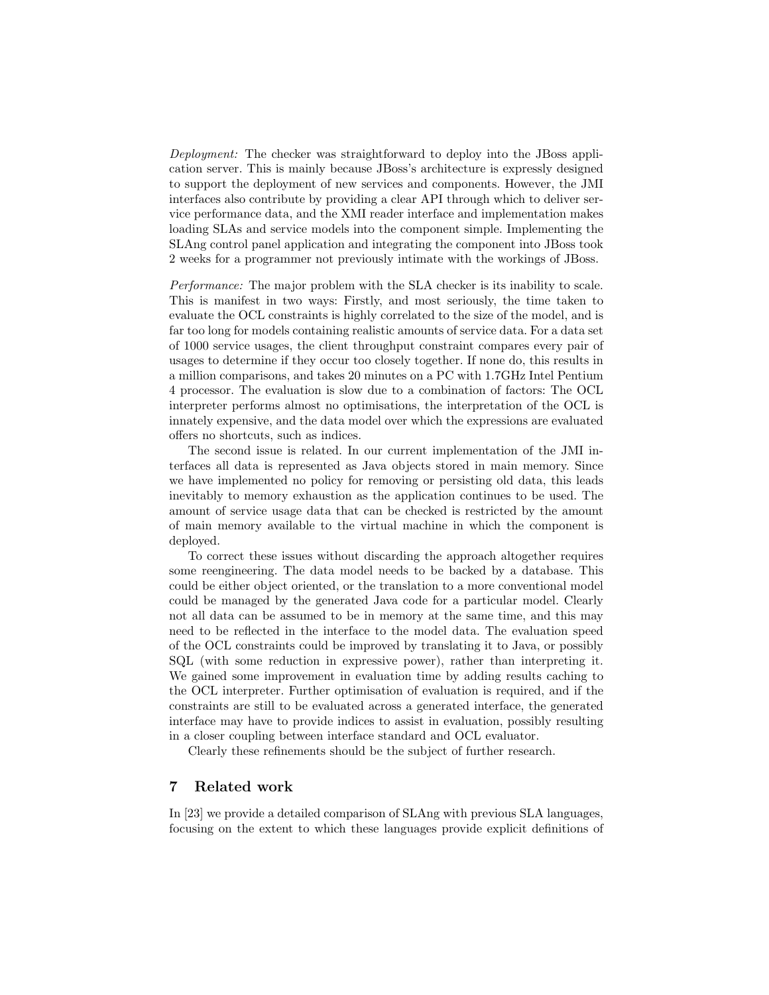Deployment: The checker was straightforward to deploy into the JBoss application server. This is mainly because JBoss's architecture is expressly designed to support the deployment of new services and components. However, the JMI interfaces also contribute by providing a clear API through which to deliver service performance data, and the XMI reader interface and implementation makes loading SLAs and service models into the component simple. Implementing the SLAng control panel application and integrating the component into JBoss took 2 weeks for a programmer not previously intimate with the workings of JBoss.

Performance: The major problem with the SLA checker is its inability to scale. This is manifest in two ways: Firstly, and most seriously, the time taken to evaluate the OCL constraints is highly correlated to the size of the model, and is far too long for models containing realistic amounts of service data. For a data set of 1000 service usages, the client throughput constraint compares every pair of usages to determine if they occur too closely together. If none do, this results in a million comparisons, and takes 20 minutes on a PC with 1.7GHz Intel Pentium 4 processor. The evaluation is slow due to a combination of factors: The OCL interpreter performs almost no optimisations, the interpretation of the OCL is innately expensive, and the data model over which the expressions are evaluated offers no shortcuts, such as indices.

The second issue is related. In our current implementation of the JMI interfaces all data is represented as Java objects stored in main memory. Since we have implemented no policy for removing or persisting old data, this leads inevitably to memory exhaustion as the application continues to be used. The amount of service usage data that can be checked is restricted by the amount of main memory available to the virtual machine in which the component is deployed.

To correct these issues without discarding the approach altogether requires some reengineering. The data model needs to be backed by a database. This could be either object oriented, or the translation to a more conventional model could be managed by the generated Java code for a particular model. Clearly not all data can be assumed to be in memory at the same time, and this may need to be reflected in the interface to the model data. The evaluation speed of the OCL constraints could be improved by translating it to Java, or possibly SQL (with some reduction in expressive power), rather than interpreting it. We gained some improvement in evaluation time by adding results caching to the OCL interpreter. Further optimisation of evaluation is required, and if the constraints are still to be evaluated across a generated interface, the generated interface may have to provide indices to assist in evaluation, possibly resulting in a closer coupling between interface standard and OCL evaluator.

Clearly these refinements should be the subject of further research.

#### 7 Related work

In [23] we provide a detailed comparison of SLAng with previous SLA languages, focusing on the extent to which these languages provide explicit definitions of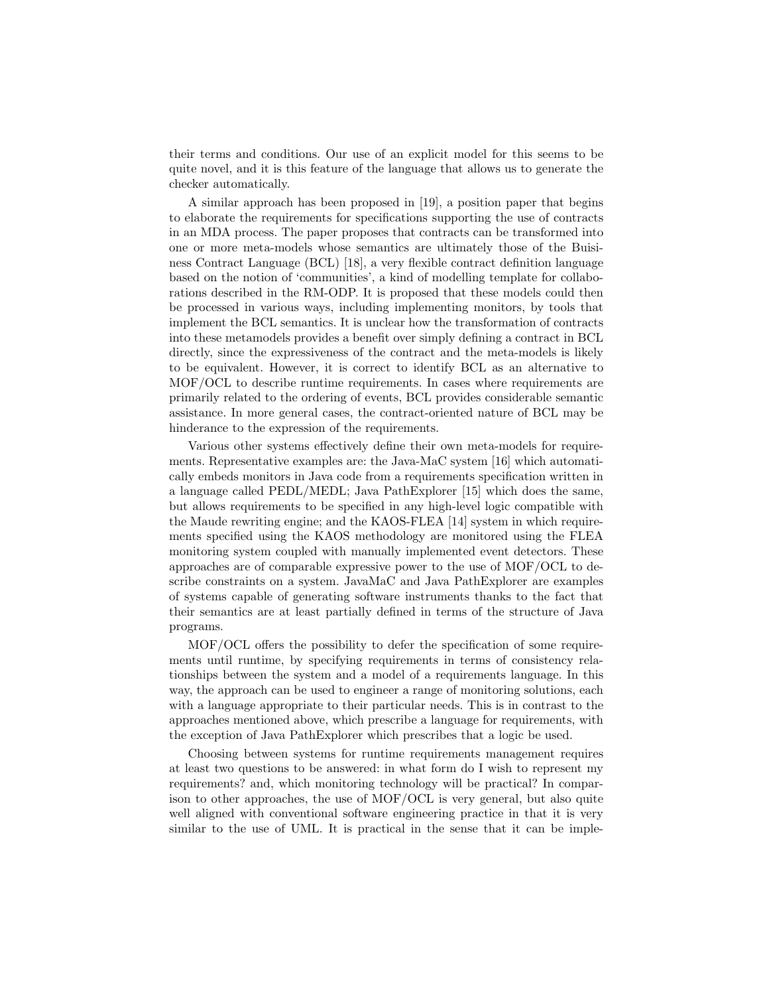their terms and conditions. Our use of an explicit model for this seems to be quite novel, and it is this feature of the language that allows us to generate the checker automatically.

A similar approach has been proposed in [19], a position paper that begins to elaborate the requirements for specifications supporting the use of contracts in an MDA process. The paper proposes that contracts can be transformed into one or more meta-models whose semantics are ultimately those of the Buisiness Contract Language (BCL) [18], a very flexible contract definition language based on the notion of 'communities', a kind of modelling template for collaborations described in the RM-ODP. It is proposed that these models could then be processed in various ways, including implementing monitors, by tools that implement the BCL semantics. It is unclear how the transformation of contracts into these metamodels provides a benefit over simply defining a contract in BCL directly, since the expressiveness of the contract and the meta-models is likely to be equivalent. However, it is correct to identify BCL as an alternative to MOF/OCL to describe runtime requirements. In cases where requirements are primarily related to the ordering of events, BCL provides considerable semantic assistance. In more general cases, the contract-oriented nature of BCL may be hinderance to the expression of the requirements.

Various other systems effectively define their own meta-models for requirements. Representative examples are: the Java-MaC system [16] which automatically embeds monitors in Java code from a requirements specification written in a language called PEDL/MEDL; Java PathExplorer [15] which does the same, but allows requirements to be specified in any high-level logic compatible with the Maude rewriting engine; and the KAOS-FLEA [14] system in which requirements specified using the KAOS methodology are monitored using the FLEA monitoring system coupled with manually implemented event detectors. These approaches are of comparable expressive power to the use of MOF/OCL to describe constraints on a system. JavaMaC and Java PathExplorer are examples of systems capable of generating software instruments thanks to the fact that their semantics are at least partially defined in terms of the structure of Java programs.

MOF/OCL offers the possibility to defer the specification of some requirements until runtime, by specifying requirements in terms of consistency relationships between the system and a model of a requirements language. In this way, the approach can be used to engineer a range of monitoring solutions, each with a language appropriate to their particular needs. This is in contrast to the approaches mentioned above, which prescribe a language for requirements, with the exception of Java PathExplorer which prescribes that a logic be used.

Choosing between systems for runtime requirements management requires at least two questions to be answered: in what form do I wish to represent my requirements? and, which monitoring technology will be practical? In comparison to other approaches, the use of MOF/OCL is very general, but also quite well aligned with conventional software engineering practice in that it is very similar to the use of UML. It is practical in the sense that it can be imple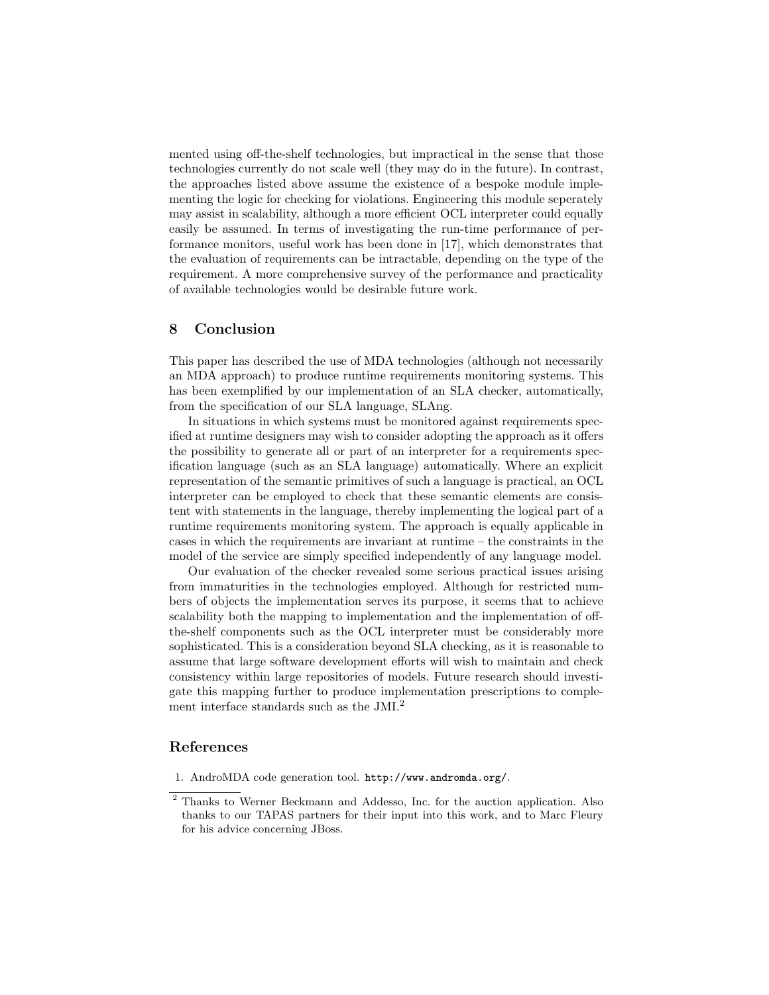mented using off-the-shelf technologies, but impractical in the sense that those technologies currently do not scale well (they may do in the future). In contrast, the approaches listed above assume the existence of a bespoke module implementing the logic for checking for violations. Engineering this module seperately may assist in scalability, although a more efficient OCL interpreter could equally easily be assumed. In terms of investigating the run-time performance of performance monitors, useful work has been done in [17], which demonstrates that the evaluation of requirements can be intractable, depending on the type of the requirement. A more comprehensive survey of the performance and practicality of available technologies would be desirable future work.

### 8 Conclusion

This paper has described the use of MDA technologies (although not necessarily an MDA approach) to produce runtime requirements monitoring systems. This has been exemplified by our implementation of an SLA checker, automatically, from the specification of our SLA language, SLAng.

In situations in which systems must be monitored against requirements specified at runtime designers may wish to consider adopting the approach as it offers the possibility to generate all or part of an interpreter for a requirements specification language (such as an SLA language) automatically. Where an explicit representation of the semantic primitives of such a language is practical, an OCL interpreter can be employed to check that these semantic elements are consistent with statements in the language, thereby implementing the logical part of a runtime requirements monitoring system. The approach is equally applicable in cases in which the requirements are invariant at runtime – the constraints in the model of the service are simply specified independently of any language model.

Our evaluation of the checker revealed some serious practical issues arising from immaturities in the technologies employed. Although for restricted numbers of objects the implementation serves its purpose, it seems that to achieve scalability both the mapping to implementation and the implementation of offthe-shelf components such as the OCL interpreter must be considerably more sophisticated. This is a consideration beyond SLA checking, as it is reasonable to assume that large software development efforts will wish to maintain and check consistency within large repositories of models. Future research should investigate this mapping further to produce implementation prescriptions to complement interface standards such as the JMI.<sup>2</sup>

# References

1. AndroMDA code generation tool. http://www.andromda.org/.

<sup>2</sup> Thanks to Werner Beckmann and Addesso, Inc. for the auction application. Also thanks to our TAPAS partners for their input into this work, and to Marc Fleury for his advice concerning JBoss.